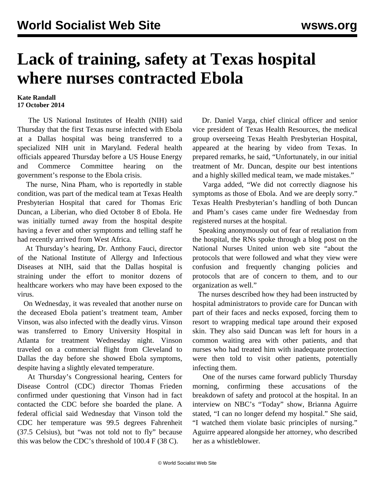## **Lack of training, safety at Texas hospital where nurses contracted Ebola**

## **Kate Randall 17 October 2014**

 The US National Institutes of Health (NIH) said Thursday that the first Texas nurse infected with Ebola at a Dallas hospital was being transferred to a specialized NIH unit in Maryland. Federal health officials appeared Thursday before a US House Energy and Commerce Committee hearing on the government's response to the Ebola crisis.

 The nurse, Nina Pham, who is reportedly in stable condition, was part of the medical team at Texas Health Presbyterian Hospital that cared for Thomas Eric Duncan, a Liberian, who died October 8 of Ebola. He was initially turned away from the hospital despite having a fever and other symptoms and telling staff he had recently arrived from West Africa.

 At Thursday's hearing, Dr. Anthony Fauci, director of the National Institute of Allergy and Infectious Diseases at NIH, said that the Dallas hospital is straining under the effort to monitor dozens of healthcare workers who may have been exposed to the virus.

 On Wednesday, it was revealed that another nurse on the deceased Ebola patient's treatment team, Amber Vinson, was also infected with the deadly virus. Vinson was transferred to Emory University Hospital in Atlanta for treatment Wednesday night. Vinson traveled on a commercial flight from Cleveland to Dallas the day before she showed Ebola symptoms, despite having a slightly elevated temperature.

 At Thursday's Congressional hearing, Centers for Disease Control (CDC) director Thomas Frieden confirmed under questioning that Vinson had in fact contacted the CDC before she boarded the plane. A federal official said Wednesday that Vinson told the CDC her temperature was 99.5 degrees Fahrenheit (37.5 Celsius), but "was not told not to fly" because this was below the CDC's threshold of 100.4 F (38 C).

 Dr. Daniel Varga, chief clinical officer and senior vice president of Texas Health Resources, the medical group overseeing Texas Health Presbyterian Hospital, appeared at the hearing by video from Texas. In prepared remarks, he said, "Unfortunately, in our initial treatment of Mr. Duncan, despite our best intentions and a highly skilled medical team, we made mistakes."

 Varga added, "We did not correctly diagnose his symptoms as those of Ebola. And we are deeply sorry." Texas Health Presbyterian's handling of both Duncan and Pham's cases came under fire Wednesday from registered nurses at the hospital.

 Speaking anonymously out of fear of retaliation from the hospital, the RNs spoke through a blog post on the National Nurses United union web site "about the protocols that were followed and what they view were confusion and frequently changing policies and protocols that are of concern to them, and to our organization as well."

 The nurses described how they had been instructed by hospital administrators to provide care for Duncan with part of their faces and necks exposed, forcing them to resort to wrapping medical tape around their exposed skin. They also said Duncan was left for hours in a common waiting area with other patients, and that nurses who had treated him with inadequate protection were then told to visit other patients, potentially infecting them.

 One of the nurses came forward publicly Thursday morning, confirming these accusations of the breakdown of safety and protocol at the hospital. In an [interview](http://www.today.com/health/dallas-nurse-we-never-talked-about-ebola-thomas-eric-duncan-2D80220579) on NBC's "Today" show, Brianna Aguirre stated, "I can no longer defend my hospital." She said, "I watched them violate basic principles of nursing." Aguirre appeared alongside her attorney, who described her as a whistleblower.